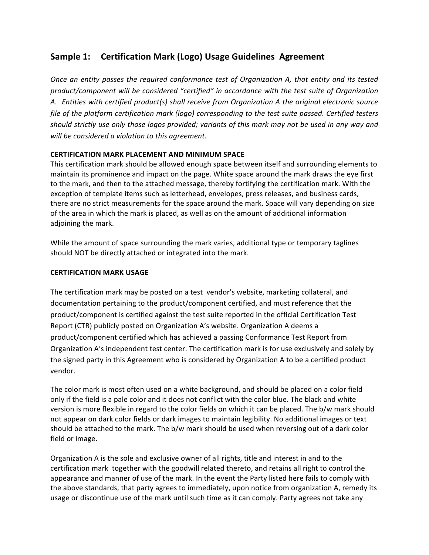# **Sample 1: Certification Mark (Logo) Usage Guidelines Agreement**

*Once an entity passes the required conformance test of Organization A, that entity and its tested* product/component will be considered "certified" in accordance with the test suite of Organization A. Entities with certified product(s) shall receive from Organization A the original electronic source *file of the platform certification mark (logo) corresponding to the test suite passed. Certified testers* should strictly use only those logos provided; variants of this mark may not be used in any way and will be considered a violation to this agreement.

# **CERTIFICATION MARK PLACEMENT AND MINIMUM SPACE**

This certification mark should be allowed enough space between itself and surrounding elements to maintain its prominence and impact on the page. White space around the mark draws the eye first to the mark, and then to the attached message, thereby fortifying the certification mark. With the exception of template items such as letterhead, envelopes, press releases, and business cards, there are no strict measurements for the space around the mark. Space will vary depending on size of the area in which the mark is placed, as well as on the amount of additional information adjoining the mark.

While the amount of space surrounding the mark varies, additional type or temporary taglines should NOT be directly attached or integrated into the mark.

# **CERTIFICATION MARK USAGE**

The certification mark may be posted on a test vendor's website, marketing collateral, and documentation pertaining to the product/component certified, and must reference that the product/component is certified against the test suite reported in the official Certification Test Report (CTR) publicly posted on Organization A's website. Organization A deems a product/component certified which has achieved a passing Conformance Test Report from Organization A's independent test center. The certification mark is for use exclusively and solely by the signed party in this Agreement who is considered by Organization A to be a certified product vendor.

The color mark is most often used on a white background, and should be placed on a color field only if the field is a pale color and it does not conflict with the color blue. The black and white version is more flexible in regard to the color fields on which it can be placed. The b/w mark should not appear on dark color fields or dark images to maintain legibility. No additional images or text should be attached to the mark. The b/w mark should be used when reversing out of a dark color field or image.

Organization A is the sole and exclusive owner of all rights, title and interest in and to the certification mark together with the goodwill related thereto, and retains all right to control the appearance and manner of use of the mark. In the event the Party listed here fails to comply with the above standards, that party agrees to immediately, upon notice from organization A, remedy its usage or discontinue use of the mark until such time as it can comply. Party agrees not take any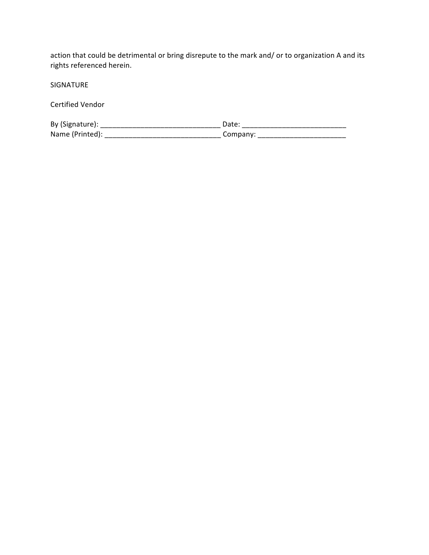action that could be detrimental or bring disrepute to the mark and/ or to organization A and its rights referenced herein.

SIGNATURE

Certified Vendor

| By (Signature): | Date     |
|-----------------|----------|
| Name (Printed): | Company. |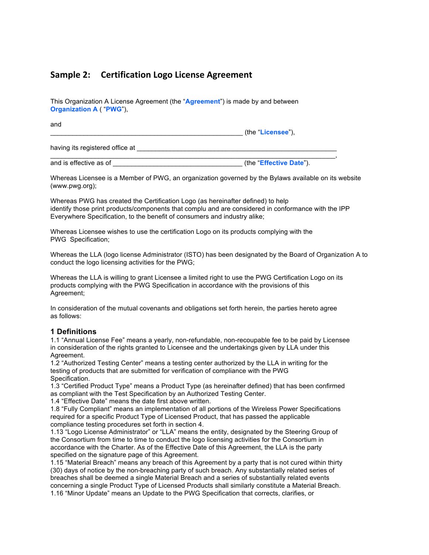# **Sample 2: Certification Logo License Agreement**

This Organization A License Agreement (the "**Agreement**") is made by and between **Organization A** ( "**PWG**"),

and

\_\_\_\_\_\_\_\_\_\_\_\_\_\_\_\_\_\_\_\_\_\_\_\_\_\_\_\_\_\_\_\_\_\_\_\_\_\_\_\_\_\_\_\_\_\_\_\_\_\_\_\_ (the "**Licensee**"),

having its registered office at

and is effective as of **and is effective as of and** is effective as of **and** is effective Date<sup>"</sup>).

 $\mathcal{L}_\mathcal{L} = \{ \mathcal{L}_\mathcal{L} = \{ \mathcal{L}_\mathcal{L} = \{ \mathcal{L}_\mathcal{L} = \{ \mathcal{L}_\mathcal{L} = \{ \mathcal{L}_\mathcal{L} = \{ \mathcal{L}_\mathcal{L} = \{ \mathcal{L}_\mathcal{L} = \{ \mathcal{L}_\mathcal{L} = \{ \mathcal{L}_\mathcal{L} = \{ \mathcal{L}_\mathcal{L} = \{ \mathcal{L}_\mathcal{L} = \{ \mathcal{L}_\mathcal{L} = \{ \mathcal{L}_\mathcal{L} = \{ \mathcal{L}_\mathcal{$ 

Whereas Licensee is a Member of PWG, an organization governed by the Bylaws available on its website (www.pwg.org);

Whereas PWG has created the Certification Logo (as hereinafter defined) to help identify those print products/components that complu and are considered in conformance with the IPP Everywhere Specification, to the benefit of consumers and industry alike;

Whereas Licensee wishes to use the certification Logo on its products complying with the PWG Specification;

Whereas the LLA (logo license Administrator (ISTO) has been designated by the Board of Organization A to conduct the logo licensing activities for the PWG;

Whereas the LLA is willing to grant Licensee a limited right to use the PWG Certification Logo on its products complying with the PWG Specification in accordance with the provisions of this Agreement;

In consideration of the mutual covenants and obligations set forth herein, the parties hereto agree as follows:

#### **1 Definitions**

1.1 "Annual License Fee" means a yearly, non-refundable, non-recoupable fee to be paid by Licensee in consideration of the rights granted to Licensee and the undertakings given by LLA under this Agreement.

1.2 "Authorized Testing Center" means a testing center authorized by the LLA in writing for the testing of products that are submitted for verification of compliance with the PWG Specification.

1.3 "Certified Product Type" means a Product Type (as hereinafter defined) that has been confirmed as compliant with the Test Specification by an Authorized Testing Center.

1.4 "Effective Date" means the date first above written.

1.8 "Fully Compliant" means an implementation of all portions of the Wireless Power Specifications required for a specific Product Type of Licensed Product, that has passed the applicable compliance testing procedures set forth in section 4.

1.13 "Logo License Administrator" or "LLA" means the entity, designated by the Steering Group of the Consortium from time to time to conduct the logo licensing activities for the Consortium in accordance with the Charter. As of the Effective Date of this Agreement, the LLA is the party specified on the signature page of this Agreement.

1.15 "Material Breach" means any breach of this Agreement by a party that is not cured within thirty (30) days of notice by the non-breaching party of such breach. Any substantially related series of breaches shall be deemed a single Material Breach and a series of substantially related events concerning a single Product Type of Licensed Products shall similarly constitute a Material Breach. 1.16 "Minor Update" means an Update to the PWG Specification that corrects, clarifies, or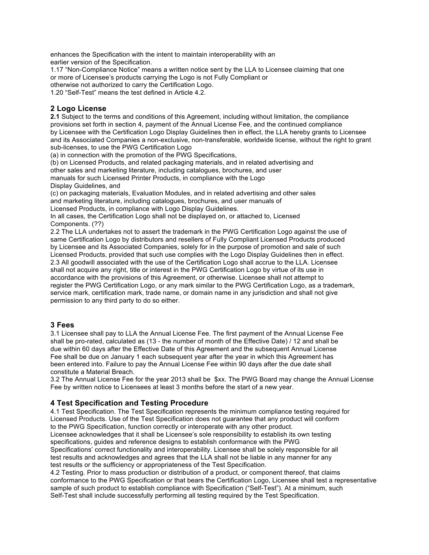enhances the Specification with the intent to maintain interoperability with an earlier version of the Specification.

1.17 "Non-Compliance Notice" means a written notice sent by the LLA to Licensee claiming that one or more of Licensee's products carrying the Logo is not Fully Compliant or otherwise not authorized to carry the Certification Logo.

1.20 "Self-Test" means the test defined in Article 4.2.

# **2 Logo License**

**2.1** Subject to the terms and conditions of this Agreement, including without limitation, the compliance provisions set forth in section 4, payment of the Annual License Fee, and the continued compliance by Licensee with the Certification Logo Display Guidelines then in effect, the LLA hereby grants to Licensee and its Associated Companies a non-exclusive, non-transferable, worldwide license, without the right to grant sub-licenses, to use the PWG Certification Logo

(a) in connection with the promotion of the PWG Specifications,

(b) on Licensed Products, and related packaging materials, and in related advertising and other sales and marketing literature, including catalogues, brochures, and user manuals for such Licensed Printer Products, in compliance with the Logo Display Guidelines, and

(c) on packaging materials, Evaluation Modules, and in related advertising and other sales and marketing literature, including catalogues, brochures, and user manuals of Licensed Products, in compliance with Logo Display Guidelines.

In all cases, the Certification Logo shall not be displayed on, or attached to, Licensed Components. (??)

2.2 The LLA undertakes not to assert the trademark in the PWG Certification Logo against the use of same Certification Logo by distributors and resellers of Fully Compliant Licensed Products produced by Licensee and its Associated Companies, solely for in the purpose of promotion and sale of such Licensed Products, provided that such use complies with the Logo Display Guidelines then in effect. 2.3 All goodwill associated with the use of the Certification Logo shall accrue to the LLA. Licensee shall not acquire any right, title or interest in the PWG Certification Logo by virtue of its use in accordance with the provisions of this Agreement, or otherwise. Licensee shall not attempt to register the PWG Certification Logo, or any mark similar to the PWG Certification Logo, as a trademark, service mark, certification mark, trade name, or domain name in any jurisdiction and shall not give permission to any third party to do so either.

### **3 Fees**

3.1 Licensee shall pay to LLA the Annual License Fee. The first payment of the Annual License Fee shall be pro-rated, calculated as (13 - the number of month of the Effective Date) / 12 and shall be due within 60 days after the Effective Date of this Agreement and the subsequent Annual License Fee shall be due on January 1 each subsequent year after the year in which this Agreement has been entered into. Failure to pay the Annual License Fee within 90 days after the due date shall constitute a Material Breach.

3.2 The Annual License Fee for the year 2013 shall be \$xx. The PWG Board may change the Annual License Fee by written notice to Licensees at least 3 months before the start of a new year.

### **4 Test Specification and Testing Procedure**

4.1 Test Specification. The Test Specification represents the minimum compliance testing required for Licensed Products. Use of the Test Specification does not guarantee that any product will conform to the PWG Specification, function correctly or interoperate with any other product. Licensee acknowledges that it shall be Licensee's sole responsibility to establish its own testing specifications, guides and reference designs to establish conformance with the PWG Specifications' correct functionality and interoperability. Licensee shall be solely responsible for all test results and acknowledges and agrees that the LLA shall not be liable in any manner for any test results or the sufficiency or appropriateness of the Test Specification.

4.2 Testing. Prior to mass production or distribution of a product, or component thereof, that claims conformance to the PWG Specification or that bears the Certification Logo, Licensee shall test a representative sample of such product to establish compliance with Specification ("Self-Test"). At a minimum, such Self-Test shall include successfully performing all testing required by the Test Specification.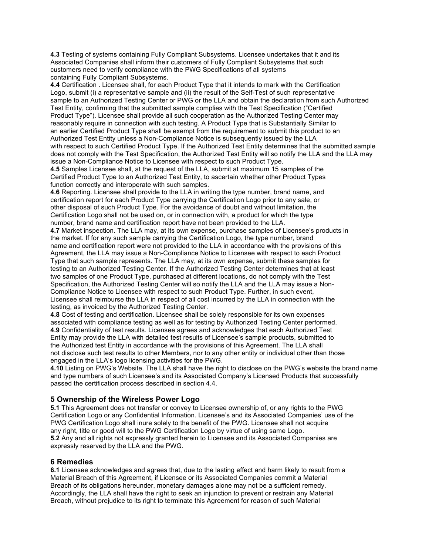**4.3** Testing of systems containing Fully Compliant Subsystems. Licensee undertakes that it and its Associated Companies shall inform their customers of Fully Compliant Subsystems that such customers need to verify compliance with the PWG Specifications of all systems containing Fully Compliant Subsystems.

**4.4** Certification . Licensee shall, for each Product Type that it intends to mark with the Certification Logo, submit (i) a representative sample and (ii) the result of the Self-Test of such representative sample to an Authorized Testing Center or PWG or the LLA and obtain the declaration from such Authorized Test Entity, confirming that the submitted sample complies with the Test Specification ("Certified Product Type"). Licensee shall provide all such cooperation as the Authorized Testing Center may reasonably require in connection with such testing. A Product Type that is Substantially Similar to an earlier Certified Product Type shall be exempt from the requirement to submit this product to an Authorized Test Entity unless a Non-Compliance Notice is subsequently issued by the LLA with respect to such Certified Product Type. If the Authorized Test Entity determines that the submitted sample does not comply with the Test Specification, the Authorized Test Entity will so notify the LLA and the LLA may issue a Non-Compliance Notice to Licensee with respect to such Product Type.

**4.5** Samples Licensee shall, at the request of the LLA, submit at maximum 15 samples of the Certified Product Type to an Authorized Test Entity, to ascertain whether other Product Types function correctly and interoperate with such samples.

**4.6** Reporting. Licensee shall provide to the LLA in writing the type number, brand name, and certification report for each Product Type carrying the Certification Logo prior to any sale, or other disposal of such Product Type. For the avoidance of doubt and without limitation, the Certification Logo shall not be used on, or in connection with, a product for which the type number, brand name and certification report have not been provided to the LLA.

**4.7** Market inspection. The LLA may, at its own expense, purchase samples of Licensee's products in the market. If for any such sample carrying the Certification Logo, the type number, brand name and certification report were not provided to the LLA in accordance with the provisions of this Agreement, the LLA may issue a Non-Compliance Notice to Licensee with respect to each Product Type that such sample represents. The LLA may, at its own expense, submit these samples for testing to an Authorized Testing Center. If the Authorized Testing Center determines that at least two samples of one Product Type, purchased at different locations, do not comply with the Test Specification, the Authorized Testing Center will so notify the LLA and the LLA may issue a Non-Compliance Notice to Licensee with respect to such Product Type. Further, in such event, Licensee shall reimburse the LLA in respect of all cost incurred by the LLA in connection with the testing, as invoiced by the Authorized Testing Center.

**4.8** Cost of testing and certification. Licensee shall be solely responsible for its own expenses associated with compliance testing as well as for testing by Authorized Testing Center performed. **4.9** Confidentiality of test results. Licensee agrees and acknowledges that each Authorized Test Entity may provide the LLA with detailed test results of Licensee's sample products, submitted to the Authorized test Entity in accordance with the provisions of this Agreement. The LLA shall not disclose such test results to other Members, nor to any other entity or individual other than those engaged in the LLA's logo licensing activities for the PWG.

**4.10** Listing on PWG's Website. The LLA shall have the right to disclose on the PWG's website the brand name and type numbers of such Licensee's and its Associated Company's Licensed Products that successfully passed the certification process described in section 4.4.

### **5 Ownership of the Wireless Power Logo**

**5.1** This Agreement does not transfer or convey to Licensee ownership of, or any rights to the PWG Certification Logo or any Confidential Information. Licensee's and its Associated Companies' use of the PWG Certification Logo shall inure solely to the benefit of the PWG. Licensee shall not acquire any right, title or good will to the PWG Certification Logo by virtue of using same Logo. **5.2** Any and all rights not expressly granted herein to Licensee and its Associated Companies are expressly reserved by the LLA and the PWG.

#### **6 Remedies**

**6.1** Licensee acknowledges and agrees that, due to the lasting effect and harm likely to result from a Material Breach of this Agreement, if Licensee or its Associated Companies commit a Material Breach of its obligations hereunder, monetary damages alone may not be a sufficient remedy. Accordingly, the LLA shall have the right to seek an injunction to prevent or restrain any Material Breach, without prejudice to its right to terminate this Agreement for reason of such Material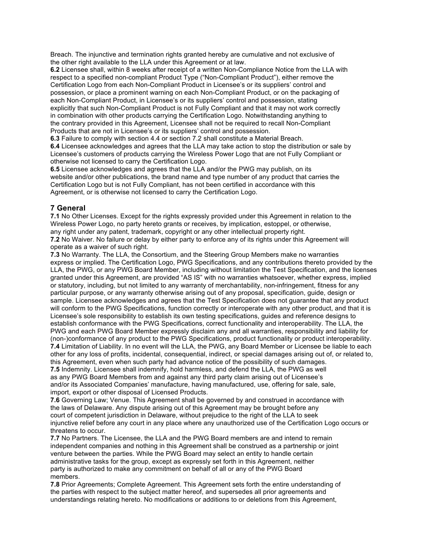Breach. The injunctive and termination rights granted hereby are cumulative and not exclusive of the other right available to the LLA under this Agreement or at law.

**6.2** Licensee shall, within 8 weeks after receipt of a written Non-Compliance Notice from the LLA with respect to a specified non-compliant Product Type ("Non-Compliant Product"), either remove the Certification Logo from each Non-Compliant Product in Licensee's or its suppliers' control and possession, or place a prominent warning on each Non-Compliant Product, or on the packaging of each Non-Compliant Product, in Licensee's or its suppliers' control and possession, stating explicitly that such Non-Compliant Product is not Fully Compliant and that it may not work correctly in combination with other products carrying the Certification Logo. Notwithstanding anything to the contrary provided in this Agreement, Licensee shall not be required to recall Non-Compliant Products that are not in Licensee's or its suppliers' control and possession.

**6.3** Failure to comply with section 4.4 or section 7.2 shall constitute a Material Breach.

**6.4** Licensee acknowledges and agrees that the LLA may take action to stop the distribution or sale by Licensee's customers of products carrying the Wireless Power Logo that are not Fully Compliant or otherwise not licensed to carry the Certification Logo.

**6.5** Licensee acknowledges and agrees that the LLA and/or the PWG may publish, on its website and/or other publications, the brand name and type number of any product that carries the Certification Logo but is not Fully Compliant, has not been certified in accordance with this Agreement, or is otherwise not licensed to carry the Certification Logo.

# **7 General**

**7.1** No Other Licenses. Except for the rights expressly provided under this Agreement in relation to the Wireless Power Logo, no party hereto grants or receives, by implication, estoppel, or otherwise, any right under any patent, trademark, copyright or any other intellectual property right. **7.2** No Waiver. No failure or delay by either party to enforce any of its rights under this Agreement will

operate as a waiver of such right.

**7.3** No Warranty. The LLA, the Consortium, and the Steering Group Members make no warranties express or implied. The Certification Logo, PWG Specifications, and any contributions thereto provided by the LLA, the PWG, or any PWG Board Member, including without limitation the Test Specification, and the licenses granted under this Agreement, are provided "AS IS" with no warranties whatsoever, whether express, implied or statutory, including, but not limited to any warranty of merchantability, non-infringement, fitness for any particular purpose, or any warranty otherwise arising out of any proposal, specification, guide, design or sample. Licensee acknowledges and agrees that the Test Specification does not guarantee that any product will conform to the PWG Specifications, function correctly or interoperate with any other product, and that it is Licensee's sole responsibility to establish its own testing specifications, guides and reference designs to establish conformance with the PWG Specifications, correct functionality and interoperability. The LLA, the PWG and each PWG Board Member expressly disclaim any and all warranties, responsibility and liability for (non-)conformance of any product to the PWG Specifications, product functionality or product interoperability. **7.4** Limitation of Liability. In no event will the LLA, the PWG, any Board Member or Licensee be liable to each other for any loss of profits, incidental, consequential, indirect, or special damages arising out of, or related to, this Agreement, even when such party had advance notice of the possibility of such damages. **7.5** Indemnity. Licensee shall indemnify, hold harmless, and defend the LLA, the PWG as well as any PWG Board Members from and against any third party claim arising out of Licensee's and/or its Associated Companies' manufacture, having manufactured, use, offering for sale, sale, import, export or other disposal of Licensed Products.

**7.6** Governing Law; Venue. This Agreement shall be governed by and construed in accordance with the laws of Delaware. Any dispute arising out of this Agreement may be brought before any court of competent jurisdiction in Delaware, without prejudice to the right of the LLA to seek injunctive relief before any court in any place where any unauthorized use of the Certification Logo occurs or threatens to occur.

**7.7** No Partners. The Licensee, the LLA and the PWG Board members are and intend to remain independent companies and nothing in this Agreement shall be construed as a partnership or joint venture between the parties. While the PWG Board may select an entity to handle certain administrative tasks for the group, except as expressly set forth in this Agreement, neither party is authorized to make any commitment on behalf of all or any of the PWG Board members.

**7.8** Prior Agreements; Complete Agreement. This Agreement sets forth the entire understanding of the parties with respect to the subject matter hereof, and supersedes all prior agreements and understandings relating hereto. No modifications or additions to or deletions from this Agreement,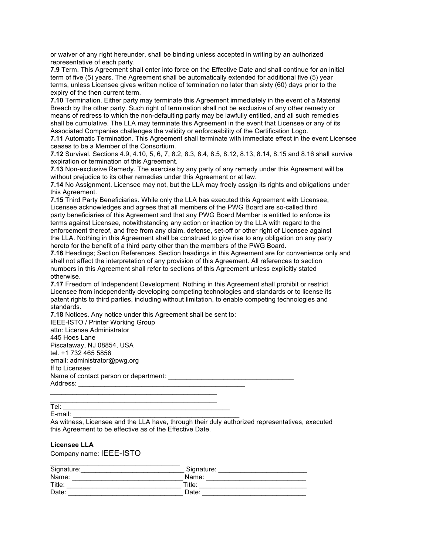or waiver of any right hereunder, shall be binding unless accepted in writing by an authorized representative of each party.

**7.9** Term. This Agreement shall enter into force on the Effective Date and shall continue for an initial term of five (5) years. The Agreement shall be automatically extended for additional five (5) year terms, unless Licensee gives written notice of termination no later than sixty (60) days prior to the expiry of the then current term.

**7.10** Termination. Either party may terminate this Agreement immediately in the event of a Material Breach by the other party. Such right of termination shall not be exclusive of any other remedy or means of redress to which the non-defaulting party may be lawfully entitled, and all such remedies shall be cumulative. The LLA may terminate this Agreement in the event that Licensee or any of its Associated Companies challenges the validity or enforceability of the Certification Logo.

**7.11** Automatic Termination. This Agreement shall terminate with immediate effect in the event Licensee ceases to be a Member of the Consortium.

**7.12** Survival. Sections 4.9, 4.10, 5, 6, 7, 8.2, 8.3, 8.4, 8.5, 8.12, 8.13, 8.14, 8.15 and 8.16 shall survive expiration or termination of this Agreement.

**7.13** Non-exclusive Remedy. The exercise by any party of any remedy under this Agreement will be without prejudice to its other remedies under this Agreement or at law.

**7.14** No Assignment. Licensee may not, but the LLA may freely assign its rights and obligations under this Agreement.

**7.15** Third Party Beneficiaries. While only the LLA has executed this Agreement with Licensee, Licensee acknowledges and agrees that all members of the PWG Board are so-called third party beneficiaries of this Agreement and that any PWG Board Member is entitled to enforce its terms against Licensee, notwithstanding any action or inaction by the LLA with regard to the enforcement thereof, and free from any claim, defense, set-off or other right of Licensee against the LLA. Nothing in this Agreement shall be construed to give rise to any obligation on any party hereto for the benefit of a third party other than the members of the PWG Board.

**7.16** Headings; Section References. Section headings in this Agreement are for convenience only and shall not affect the interpretation of any provision of this Agreement. All references to section numbers in this Agreement shall refer to sections of this Agreement unless explicitly stated otherwise.

**7.17** Freedom of Independent Development. Nothing in this Agreement shall prohibit or restrict Licensee from independently developing competing technologies and standards or to license its patent rights to third parties, including without limitation, to enable competing technologies and standards.

**7.18** Notices. Any notice under this Agreement shall be sent to: IEEE-ISTO / Printer Working Group

attn: License Administrator 445 Hoes Lane Piscataway, NJ 08854, USA tel. +1 732 465 5856 email: administrator@pwg.org If to Licensee: Name of contact person or department: Address:

 $\mathcal{L}_\text{max}$  , where  $\mathcal{L}_\text{max}$  and  $\mathcal{L}_\text{max}$  and  $\mathcal{L}_\text{max}$ \_\_\_\_\_\_\_\_\_\_\_\_\_\_\_\_\_\_\_\_\_\_\_\_\_\_\_\_\_\_\_\_\_\_\_\_\_\_\_\_\_\_\_\_\_

Tel: \_\_\_\_\_\_\_\_\_\_\_\_\_\_\_\_\_\_\_\_\_\_\_\_\_\_\_\_\_\_\_\_\_\_\_\_\_\_\_\_\_\_\_\_\_

E-mail: \_\_\_\_\_\_\_\_\_\_\_\_\_\_\_\_\_\_\_\_\_\_\_\_\_\_\_\_\_\_\_\_\_\_\_\_\_\_\_\_\_\_\_\_\_

As witness, Licensee and the LLA have, through their duly authorized representatives, executed this Agreement to be effective as of the Effective Date.

#### **Licensee LLA**

Company name: IEEE-ISTO

| Signature: | Signature: |  |
|------------|------------|--|
| Name:      | Name:      |  |
| Title:     | Title:     |  |
| Date:      | Date:      |  |